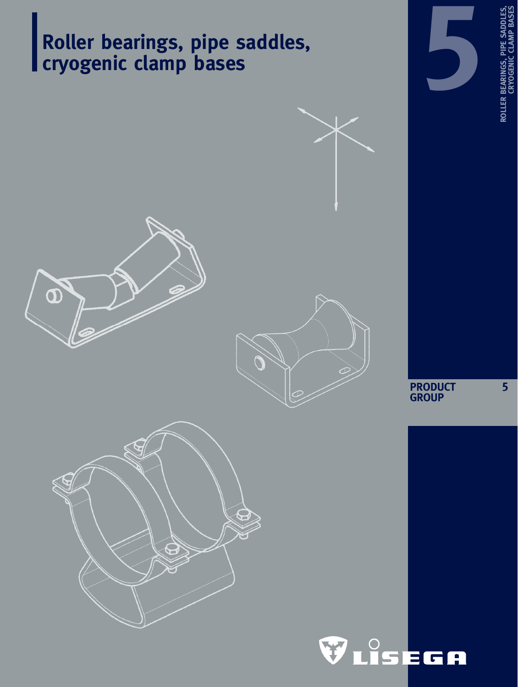# **Roller bearings, pipe saddles,<br>cryogenic clamp bases cryogenic clamp bases**



**PRODUCT 5 GROUP**



O

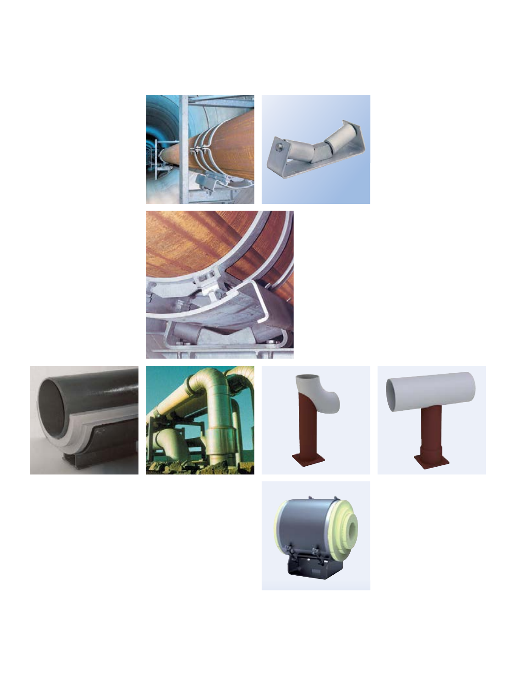











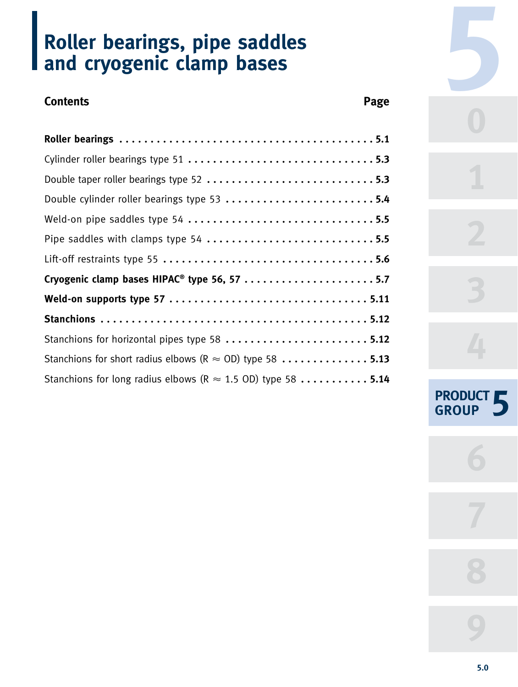## **Roller bearings, pipe saddles and cryogenic clamp bases**

### **Contents** Page

**5**

**3**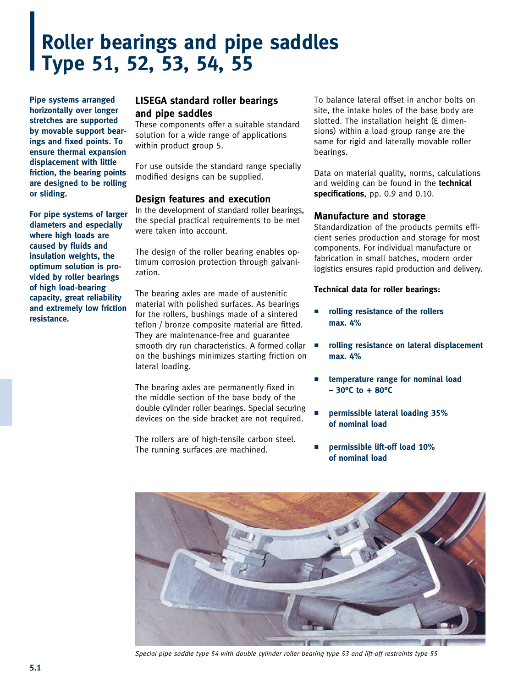## **Roller bearings and pipe saddles Type 51, 52, 53, 54, 55**

**Pipe systems arranged horizontally over longer stretches are supported by movable support bearings and fixed points. To ensure thermal expansion displacement with little friction, the bearing points are designed to be rolling or sliding.**

**For pipe systems of larger diameters and especially where high loads are caused by fluids and insulation weights, the optimum solution is provided by roller bearings of high load-bearing capacity, great reliability and extremely low friction resistance.**

#### **LISEGA standard roller bearings and pipe saddles**

These components offer a suitable standard solution for a wide range of applications within product group 5.

For use outside the standard range specially modified designs can be supplied.

#### **Design features and execution**

In the development of standard roller bearings, the special practical requirements to be met were taken into account.

The design of the roller bearing enables optimum corrosion protection through galvanization.

The bearing axles are made of austenitic material with polished surfaces. As bearings for the rollers, bushings made of a sintered teflon / bronze composite material are fitted. They are maintenance-free and guarantee smooth dry run characteristics. A formed collar on the bushings minimizes starting friction on lateral loading.

The bearing axles are permanently fixed in the middle section of the base body of the double cylinder roller bearings. Special securing devices on the side bracket are not required.

The rollers are of high-tensile carbon steel. The running surfaces are machined.

To balance lateral offset in anchor bolts on site, the intake holes of the base body are slotted. The installation height (E dimensions) within a load group range are the same for rigid and laterally movable roller bearings.

Data on material quality, norms, calculations and welding can be found in the **technical specifications**, pp. 0.9 and 0.10.

#### **Manufacture and storage**

Standardization of the products permits efficient series production and storage for most components. For individual manufacture or fabrication in small batches, modern order logistics ensures rapid production and delivery.

#### **Technical data for roller bearings:**

- **rolling resistance of the rollers max. 4%**
- **rolling resistance on lateral displacement max. 4%**
- **temperature range for nominal load – 30°C to + 80°C**
- **permissible lateral loading 35% of nominal load**
- **permissible lift-off load 10% of nominal load**



*Special pipe saddle type 54 with double cylinder roller bearing type 53 and lift-off restraints type 55*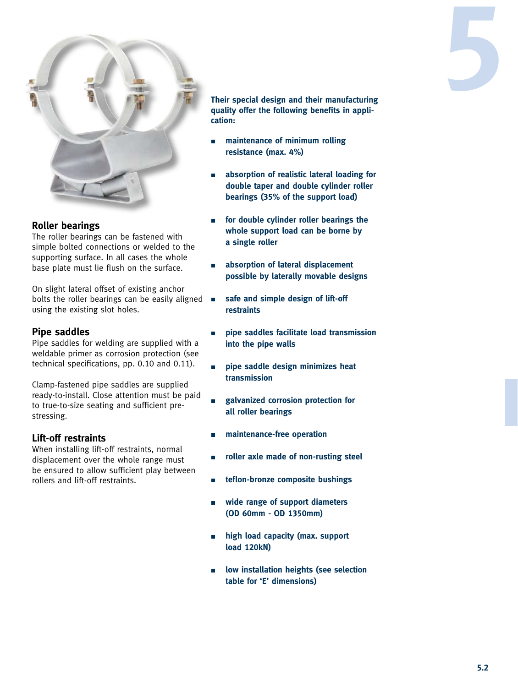

#### **Roller bearings**

The roller bearings can be fastened with simple bolted connections or welded to the supporting surface. In all cases the whole base plate must lie flush on the surface.

On slight lateral offset of existing anchor bolts the roller bearings can be easily aligned  $\blacksquare$ using the existing slot holes.

#### **Pipe saddles**

Pipe saddles for welding are supplied with a weldable primer as corrosion protection (see technical specifications, pp. 0.10 and 0.11).

Clamp-fastened pipe saddles are supplied ready-to-install. Close attention must be paid to true-to-size seating and sufficient prestressing.

#### **Lift-off restraints**

When installing lift-off restraints, normal displacement over the whole range must be ensured to allow sufficient play between rollers and lift-off restraints.

**Their special design and their manufacturing quality offer the following benefits in application:** 

- **maintenance of minimum rolling resistance (max. 4%)**
- **absorption of realistic lateral loading for double taper and double cylinder roller bearings (35% of the support load)**
- **for double cylinder roller bearings the whole support load can be borne by a single roller**
- **absorption of lateral displacement possible by laterally movable designs**
- **safe and simple design of lift-off restraints**
- **pipe saddles facilitate load transmission into the pipe walls**
- **pipe saddle design minimizes heat transmission**
- **galvanized corrosion protection for all roller bearings**
- **maintenance-free operation**
- **roller axle made of non-rusting steel**
- **teflon-bronze composite bushings**
- **wide range of support diameters (OD 60mm - OD 1350mm)**
- **high load capacity (max. support load 120kN)**
- **low installation heights (see selection table for 'E' dimensions)**

**5**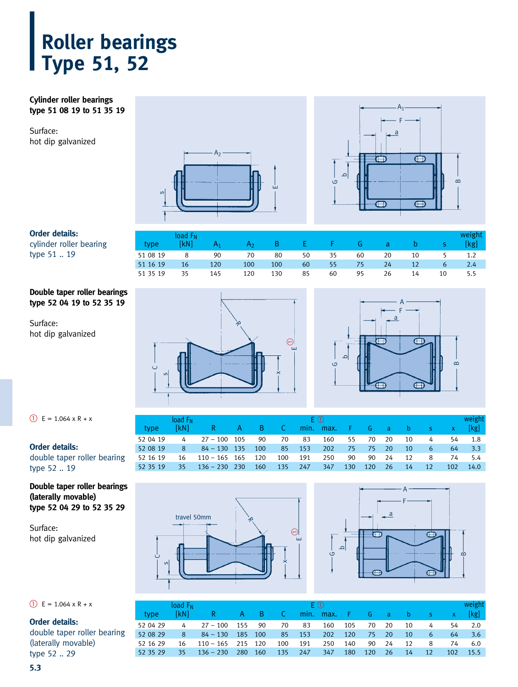## **Roller bearings Type 51, 52**

**Cylinder roller bearings type 51 08 19 to 51 35 19**

Surface: hot dip galvanized



type

type

load F<sub>N</sub>

load F<sub>N</sub><br>[kN]



weight [kg]

> weight [kg]

#### **Order details:**

cylinder roller bearing type 51 .. 19

#### **Double taper roller bearings type 52 04 19 to 52 35 19**

Surface: hot dip galvanized





$$
D E = 1.064 \times R + x
$$

#### **Order details:**

double taper roller bearing type 52 .. 19

**Double taper roller bearings (laterally movable) type 52 04 29 to 52 35 29**

Surface: hot dip galvanized



E ①

52 04 29 4 27 – 100 155 90 70 83 160 105 70 20 10 4 54 2.0 52 08 29 8 84 – 130 185 100 85 153 202 120 75 20 10 6 64 3.6 52 16 29 16 110 – 165 215 120 100 191 250 140 90 24 12 8 74 6.0 52 35 29 35 136 – 230 280 160 135 247 347 180 120 26 14 12 102 15.5

[kN]  $A_1$   $A_2$  B E F G a b s

51 08 19 8 90 70 80 50 35 60 20 10 5 1.2 51 16 19 16 120 100 100 60 55 75 24 12 6 2.4 51 35 19 35 145 120 130 85 60 95 26 14 10 5.5



[kN] R A B C



min. max. F G a b s x

#### $\bigcirc$  E = 1.064 x R + x

**Order details:**

**5.3**

double taper roller bearing (laterally movable) type 52 .. 29

|                    |  | louble taper roller beari |
|--------------------|--|---------------------------|
| laterally movable) |  |                           |
| vpe 52  29         |  |                           |

|  | :  29 |  |
|--|-------|--|
|  |       |  |
|  |       |  |

|              | $E$ ① |      |    |    |    |    |   |
|--------------|-------|------|----|----|----|----|---|
|              | min.  | max. | F  | G  | a  | b  | s |
| $^{\prime}0$ | 83    | 160  | 55 | 70 | 20 | 10 |   |
|              |       |      |    |    |    |    |   |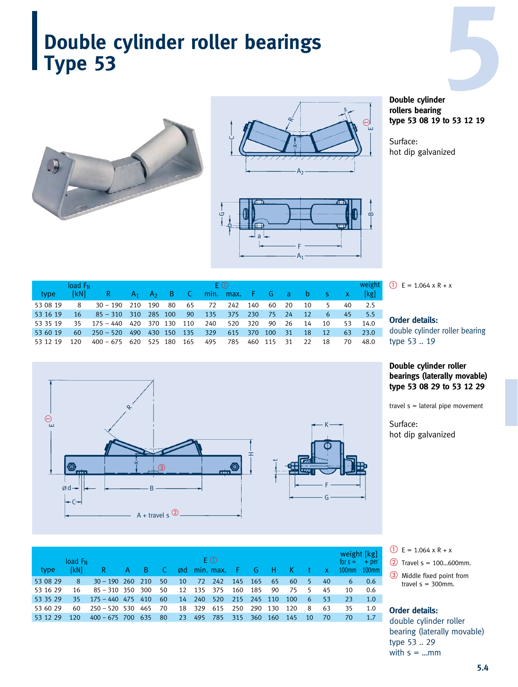## **Double cylinder roller bearings Type 53**







## **5 Double cylinder rollers bearing type 53 08 19 to 53 12 19**

Surface: hot dip galvanized

type load F<sub>N</sub>  $[kN]$  R  $A_1$   $A_2$  B C E ① min. max. F G a b s x weight [kg] 53 08 19 8 30 – 190 210 190 80 65 72 242 140 60 20 10 5 40 2.5 53 16 19 16 85 – 310 310 285 100 90 135 375 230 75 24 12 6 45 5.5 53 35 19 35 175 – 440 420 370 130 110 240 520 320 90 26 14 10 53 14.0 53 60 19 60 250 – 520 490 430 150 135 329 615 370 100 31 18 12 63 23.0 53 12 19 120 400 – 675 620 525 180 165 495 785 460 115 31 22 18 70 48.0



### **Order details:**

double cylinder roller bearing type 53 .. 19

#### **Double cylinder roller bearings (laterally movable) type 53 08 29 to 53 12 29**

travel  $s =$  lateral pipe movement

Surface: hot dip galvanized

- $\textcircled{1}$  E = 1.064 x R + x
- $2$  Travel s = 100...600mm.
- Middle fixed point from travel  $s = 300$ mm.

#### **Order details:**

double cylinder roller bearing (laterally movable) type 53 .. 29 with  $s = ...mm$ 

| type     | load F <sub>N</sub><br>[kN] | R.                   | A B |     |     |    | E(1)<br>C ød min. max. F G H K t x |         |    |       |      |     | for $s = +p$ er<br>100mm 100mm | weight [kg] |
|----------|-----------------------------|----------------------|-----|-----|-----|----|------------------------------------|---------|----|-------|------|-----|--------------------------------|-------------|
| 53 08 29 | 8                           | $30 - 190$ 260 210   |     |     | 50  | 10 | 72 242 145 165 65                  |         |    | - 60  | $-5$ | 40  | 6                              | 0.6         |
| 53 16 29 | 16                          | $85 - 310$ 350       |     | 300 | 50  |    | 12 135 375                         | 160 185 | 90 | 75    | - 5  | 45  | 10                             | 0.6         |
| 53 35 29 | 35                          | $175 - 440$ 475 410  |     |     | -60 |    | 14 240 520 215 245 110             |         |    | - 100 | $-6$ | 53  | 23                             | 1.0         |
| 53 60 29 | 60                          | 250 - 520 530 465 70 |     |     |     |    | 18 329 615 250 290 130 120         |         |    |       | - 8  | -63 | 35                             | 1.0         |
| 53 12 29 | 120                         | $400 - 675$ 700 635  |     |     | -80 |    | 23 495 785 315 360 160 145         |         |    |       | -10  | 70  | 70                             | 1.7         |
|          |                             |                      |     |     |     |    |                                    |         |    |       |      |     |                                |             |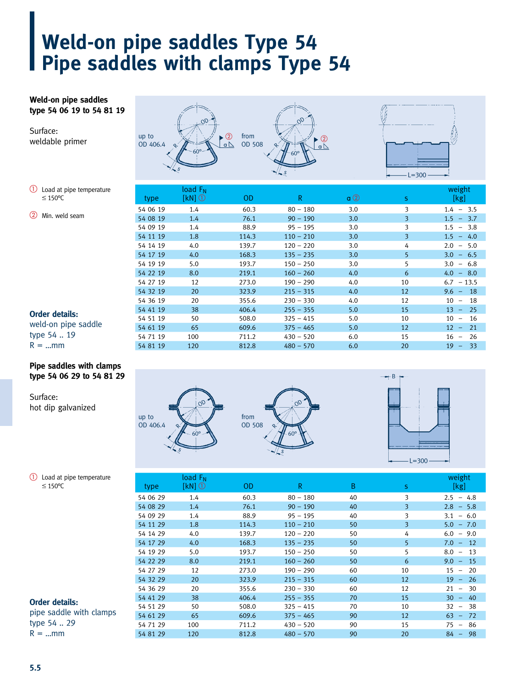## **Weld-on pipe saddles Type 54 Pipe saddles with clamps Type 54**

#### **Weld-on pipe saddles type 54 06 19 to 54 81 19**

Load at pipe temperature

Surface: weldable primer

 $≤ 150°C$ 

Min. weld seam



54 09 19 1.4 88.9 95 – 195 3.0 3 1.5 – 3.8 54 11 19 1.8 114.3 110 – 210 3.0 3 1.5 – 4.0 54 14 19 4.0 139.7 120 – 220 3.0 4 2.0 – 5.0 54 17 19 4.0 168.3 135 – 235 3.0 5 3.0 – 6.5 54 19 19 5.0 193.7 150 – 250 3.0 5 3.0 – 6.8 54 22 19 8.0 219.1 160 – 260 4.0 6 4.0 – 8.0 54 27 19 12 273.0 190 – 290 4.0 10 6.7 – 13.5 54 32 19 20 323.9 215 – 315 4.0 12 9.6 – 18 54 36 19 20 355.6 230 – 330 4.0 12 10 – 18 54 41 19 38 406.4 255 – 355 5.0 15 13 – 25 54 51 19 50 508.0 325 – 415 5.0 10 10 – 16 54 61 19 65 609.6 375 – 465 5.0 12 12 – 21 54 71 19 100 711.2 430 – 520 6.0 15 16 – 26 54 81 19 120 812.8 480 – 570 6.0 20 19 – 33

#### **Order details:**

weld-on pipe saddle type 54 .. 19  $R = ...mm$ 

#### **Pipe saddles with clamps type 54 06 29 to 54 81 29**

Surface: hot dip galvanized







 Load at pipe temperature  $≤ 150°C$ 

#### **Order details:**

pipe saddle with clamps type 54 .. 29  $R = ...mm$ 

| type     | load F <sub>N</sub><br>[kN] ① | 0D    | R.          | B  | s  | weight<br>[kg]                       |
|----------|-------------------------------|-------|-------------|----|----|--------------------------------------|
| 54 06 29 | 1.4                           | 60.3  | $80 - 180$  | 40 | 3  | $2.5 - 4.8$                          |
| 54 08 29 | 1.4                           | 76.1  | $90 - 190$  | 40 | 3  | $2.8 - 5.8$                          |
| 54 09 29 | 1.4                           | 88.9  | $95 - 195$  | 40 | 3  | $3.1 - 6.0$                          |
| 54 11 29 | 1.8                           | 114.3 | $110 - 210$ | 50 | 3  | $5.0 - 7.0$                          |
| 54 14 29 | 4.0                           | 139.7 | $120 - 220$ | 50 | 4  | $6.0 - 9.0$                          |
| 54 17 29 | 4.0                           | 168.3 | $135 - 235$ | 50 | 5  | $7.0 -$<br>12                        |
| 54 19 29 | 5.0                           | 193.7 | $150 - 250$ | 50 | 5  | $8.0 -$<br>13                        |
| 54 22 29 | 8.0                           | 219.1 | $160 - 260$ | 50 | 6  | $9.0 -$<br>15                        |
| 54 27 29 | 12                            | 273.0 | $190 - 290$ | 60 | 10 | $15 -$<br>20                         |
| 54 32 29 | 20                            | 323.9 | $215 - 315$ | 60 | 12 | $19 -$<br>26                         |
| 54 36 29 | 20                            | 355.6 | $230 - 330$ | 60 | 12 | 21<br>30<br>$\overline{\phantom{a}}$ |
| 54 41 29 | 38                            | 406.4 | $255 - 355$ | 70 | 15 | $30 -$<br>40                         |
| 54 51 29 | 50                            | 508.0 | $325 - 415$ | 70 | 10 | 38<br>$32 -$                         |
| 54 61 29 | 65                            | 609.6 | $375 - 465$ | 90 | 12 | $63 -$<br>72                         |
| 54 71 29 | 100                           | 711.2 | $430 - 520$ | 90 | 15 | 86<br>75<br>$\overline{\phantom{a}}$ |
| 54 81 29 | 120                           | 812.8 | $480 - 570$ | 90 | 20 | 98<br>$84 -$                         |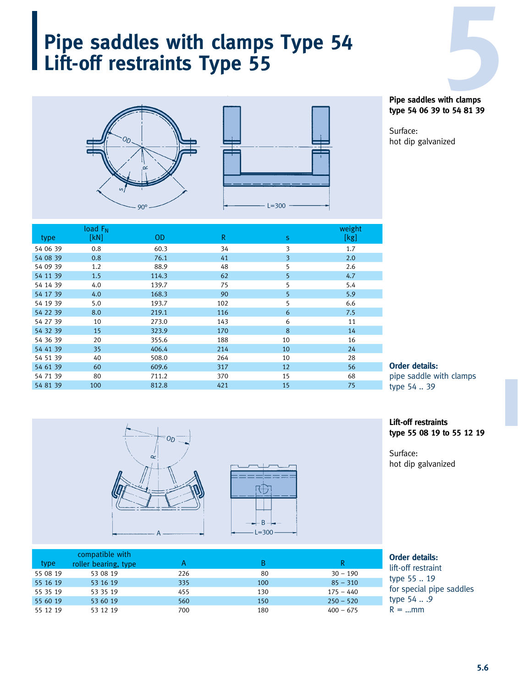## **Pipe saddles with clamps Type 54 Lift-off restraints Type 55**



**S**<br> **10** 54 81 39 **Pipe saddles with clamps type 54 06 39 to 54 81 39**

Surface: hot dip galvanized

|          | $load F_N$ |       |              |    | weight |
|----------|------------|-------|--------------|----|--------|
| type     | [kN]       | OD.   | $\mathsf{R}$ | S  | [kg]   |
| 54 06 39 | 0.8        | 60.3  | 34           | 3  | 1.7    |
| 54 08 39 | 0.8        | 76.1  | 41           | 3  | 2.0    |
| 54 09 39 | 1.2        | 88.9  | 48           | 5  | 2.6    |
| 54 11 39 | 1.5        | 114.3 | 62           | 5  | 4.7    |
| 54 14 39 | 4.0        | 139.7 | 75           | 5  | 5.4    |
| 54 17 39 | 4.0        | 168.3 | 90           | 5  | 5.9    |
| 54 19 39 | 5.0        | 193.7 | 102          | 5  | 6.6    |
| 54 22 39 | 8.0        | 219.1 | 116          | 6  | 7.5    |
| 54 27 39 | 10         | 273.0 | 143          | 6  | 11     |
| 54 32 39 | 15         | 323.9 | 170          | 8  | 14     |
| 54 36 39 | 20         | 355.6 | 188          | 10 | 16     |
| 54 41 39 | 35         | 406.4 | 214          | 10 | 24     |
| 54 51 39 | 40         | 508.0 | 264          | 10 | 28     |
| 54 61 39 | 60         | 609.6 | 317          | 12 | 56     |
| 54 71 39 | 80         | 711.2 | 370          | 15 | 68     |
| 54 81 39 | 100        | 812.8 | 421          | 15 | 75     |

**Order details:** pipe saddle with clamps type 54 .. 39





**Lift-off restraints**

**type 55 08 19 to 55 12 19**

Surface: hot dip galvanized

|          | compatible with      |     |     |             | Order deta    |
|----------|----------------------|-----|-----|-------------|---------------|
| type     | roller bearing, type |     | B   |             | lift-off rest |
| 55 08 19 | 53 08 19             | 226 | 80  | $30 - 190$  |               |
| 55 16 19 | 53 16 19             | 335 | 100 | $85 - 310$  | type $55$     |
| 55 35 19 | 53 35 19             | 455 | 130 | $175 - 440$ | for special   |
| 55 60 19 | 53 60 19             | 560 | 150 | $250 - 520$ | type $54$     |
| 55 12 19 | 53 12 19             | 700 | 180 | $400 - 675$ | $R = mm$      |

**Order details:** -off restraint e 55 .. 19 special pipe saddles  $9e 54...9$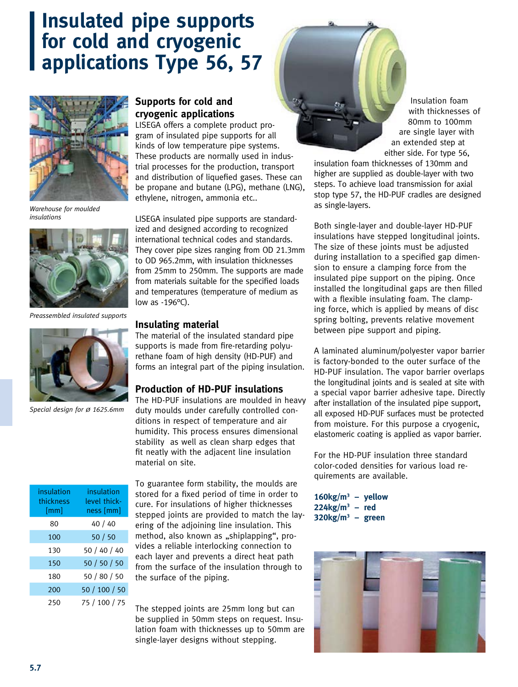### **Insulated pipe supports for cold and cryogenic applications Type 56, 57**



*Warehouse for moulded insulations*



*Preassembled insulated supports*



*Special design for Ø 1625.6mm*

| insulation<br>thickness<br>[mm] | insulation<br>level thick-<br>ness [mm] |
|---------------------------------|-----------------------------------------|
| 80                              | 40 / 40                                 |
| 100                             | 50 / 50                                 |
| 130                             | 50 / 40 / 40                            |
| 150                             | 50 / 50 / 50                            |
| 180                             | 50 / 80 / 50                            |
| 200                             | 50 / 100 / 50                           |
| 250                             | 75 / 100 / 75                           |

#### **Supports for cold and cryogenic applications**

LISEGA offers a complete product program of insulated pipe supports for all kinds of low temperature pipe systems. These products are normally used in industrial processes for the production, transport and distribution of liquefied gases. These can be propane and butane (LPG), methane (LNG), ethylene, nitrogen, ammonia etc..

LISEGA insulated pipe supports are standardized and designed according to recognized international technical codes and standards. They cover pipe sizes ranging from OD 21.3mm to OD 965.2mm, with insulation thicknesses from 25mm to 250mm. The supports are made from materials suitable for the specified loads and temperatures (temperature of medium as low as -196°C).

#### **Insulating material**

The material of the insulated standard pipe supports is made from fire-retarding polyurethane foam of high density (HD-PUF) and forms an integral part of the piping insulation.

#### **Production of HD-PUF insulations**

The HD-PUF insulations are moulded in heavy duty moulds under carefully controlled conditions in respect of temperature and air humidity. This process ensures dimensional stability as well as clean sharp edges that fit neatly with the adjacent line insulation material on site.

To guarantee form stability, the moulds are stored for a fixed period of time in order to cure. For insulations of higher thicknesses stepped joints are provided to match the layering of the adjoining line insulation. This method, also known as "shiplapping", provides a reliable interlocking connection to each layer and prevents a direct heat path from the surface of the insulation through to the surface of the piping.

The stepped joints are 25mm long but can be supplied in 50mm steps on request. Insulation foam with thicknesses up to 50mm are single-layer designs without stepping.

Insulation foam with thicknesses of 80mm to 100mm are single layer with an extended step at either side. For type 56,

insulation foam thicknesses of 130mm and higher are supplied as double-layer with two steps. To achieve load transmission for axial stop type 57, the HD-PUF cradles are designed as single-layers.

Both single-layer and double-layer HD-PUF insulations have stepped longitudinal joints. The size of these joints must be adjusted during installation to a specified gap dimension to ensure a clamping force from the insulated pipe support on the piping. Once installed the longitudinal gaps are then filled with a flexible insulating foam. The clamping force, which is applied by means of disc spring bolting, prevents relative movement between pipe support and piping.

A laminated aluminum/polyester vapor barrier is factory-bonded to the outer surface of the HD-PUF insulation. The vapor barrier overlaps the longitudinal joints and is sealed at site with a special vapor barrier adhesive tape. Directly after installation of the insulated pipe support, all exposed HD-PUF surfaces must be protected from moisture. For this purpose a cryogenic, elastomeric coating is applied as vapor barrier.

For the HD-PUF insulation three standard color-coded densities for various load requirements are available.

**160kg/m3 – yellow 224kg/m3 – red 320kg/m3 – green** 

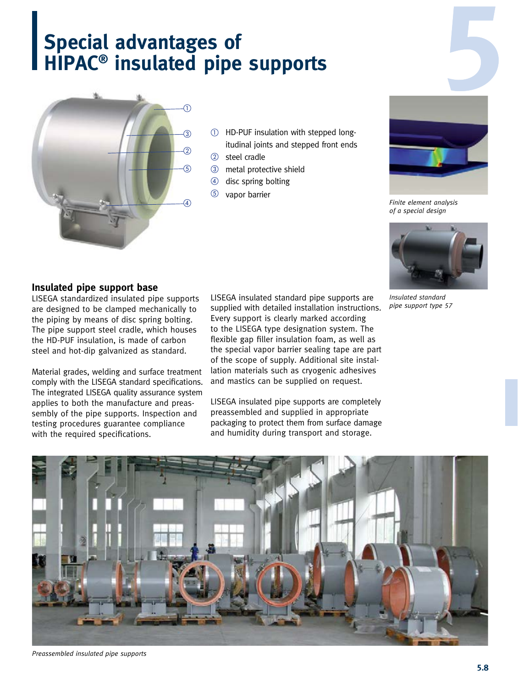# **Special advantages of**



- $\circled{1}$  HD-PUF insulation with stepped longitudinal joints and stepped front ends
- 2 steel cradle
- metal protective shield
- disc spring bolting
- vapor barrier



*Finite element analysis of a special design*



*Insulated standard pipe support type 57*

LISEGA standardized insulated pipe supports are designed to be clamped mechanically to the piping by means of disc spring bolting. The pipe support steel cradle, which houses the HD-PUF insulation, is made of carbon steel and hot-dip galvanized as standard.

Material grades, welding and surface treatment comply with the LISEGA standard specifications. The integrated LISEGA quality assurance system applies to both the manufacture and preassembly of the pipe supports. Inspection and testing procedures guarantee compliance with the required specifications.

LISEGA insulated standard pipe supports are supplied with detailed installation instructions. Every support is clearly marked according to the LISEGA type designation system. The flexible gap filler insulation foam, as well as the special vapor barrier sealing tape are part of the scope of supply. Additional site installation materials such as cryogenic adhesives and mastics can be supplied on request.

LISEGA insulated pipe supports are completely preassembled and supplied in appropriate packaging to protect them from surface damage and humidity during transport and storage.



*Preassembled insulated pipe supports*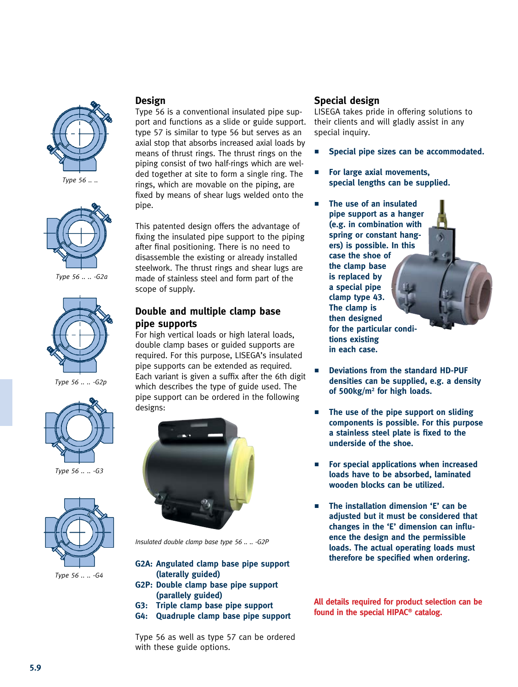

*Type 56 .. ..* 



*Type 56 .. .. -G2a* 



*Type 56 .. .. -G2p* 



*Type 56 .. .. -G3*



*Type 56 .. .. -G4* 

#### **Design**

Type 56 is a conventional insulated pipe support and functions as a slide or guide support. type 57 is similar to type 56 but serves as an axial stop that absorbs increased axial loads by means of thrust rings. The thrust rings on the piping consist of two half-rings which are welded together at site to form a single ring. The rings, which are movable on the piping, are fixed by means of shear lugs welded onto the pipe.

This patented design offers the advantage of fixing the insulated pipe support to the piping after final positioning. There is no need to disassemble the existing or already installed steelwork. The thrust rings and shear lugs are made of stainless steel and form part of the scope of supply.

#### **Double and multiple clamp base pipe supports**

For high vertical loads or high lateral loads, double clamp bases or guided supports are required. For this purpose, LISEGA's insulated pipe supports can be extended as required. Each variant is given a suffix after the 6th digit which describes the type of guide used. The pipe support can be ordered in the following designs:



*Insulated double clamp base type 56 .. .. -G2P* 

- **G2A: Angulated clamp base pipe support (laterally guided)**
- **G2P: Double clamp base pipe support (parallely guided)**
- **G3: Triple clamp base pipe support**
- **G4: Quadruple clamp base pipe support**

Type 56 as well as type 57 can be ordered with these guide options.

#### **Special design**

LISEGA takes pride in offering solutions to their clients and will gladly assist in any special inquiry.

- **Special pipe sizes can be accommodated.**
- **For large axial movements, special lengths can be supplied.**
- $\blacksquare$  The use of an insulated **pipe support as a hanger (e.g. in combination with spring or constant hangers) is possible. In this case the shoe of the clamp base is replaced by a special pipe clamp type 43. The clamp is then designed for the particular conditions existing in each case.**
- **Deviations from the standard HD-PUF densities can be supplied, e.g. a density of 500kg/m2 for high loads.**
- **The use of the pipe support on sliding components is possible. For this purpose a stainless steel plate is fixed to the underside of the shoe.**
- **For special applications when increased loads have to be absorbed, laminated wooden blocks can be utilized.**
- **The installation dimension 'E' can be adjusted but it must be considered that changes in the 'E' dimension can influence the design and the permissible loads. The actual operating loads must therefore be specified when ordering.**

**All details required for product selection can be found in the special HIPAC® catalog.**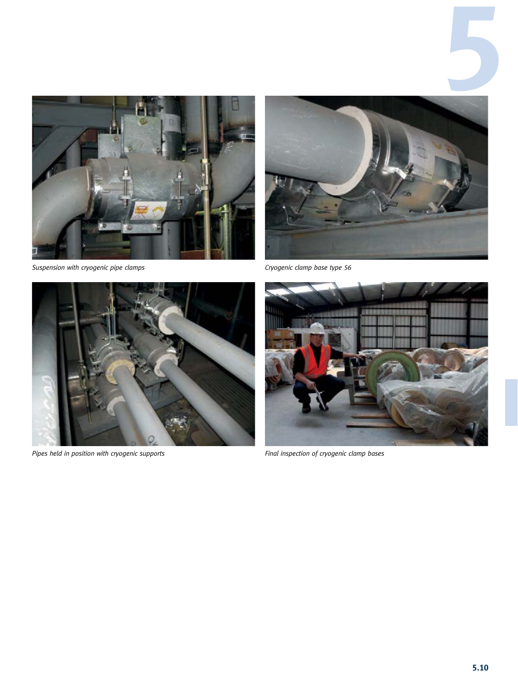

*Suspension with cryogenic pipe clamps*



*Cryogenic clamp base type 56*



*Final inspection of cryogenic clamp bases*



*Pipes held in position with cryogenic supports*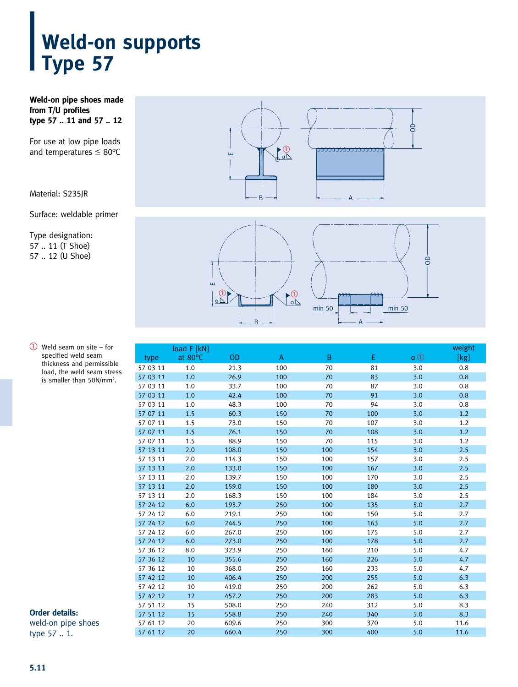## **Weld-on supports Type 57**

#### **Weld-on pipe shoes made from T/U profiles type 57 .. 11 and 57 .. 12**

For use at low pipe loads and temperatures  $\leq 80^{\circ}$ C

Material: S235JR

Surface: weldable primer

Type designation: 57 .. 11 (T Shoe) 57 .. 12 (U Shoe)

 Weld seam on site – for specified weld seam thickness and permissible load, the weld seam stress is smaller than 50N/mm2 .

#### **Order details:**

weld-on pipe shoes type 57 .. 1.





|          | load F [kN] |       |     |     |     |     | weight |
|----------|-------------|-------|-----|-----|-----|-----|--------|
| type     | at 80°C     | OD    | A   | B   | E   | a ① | [kg]   |
| 57 03 11 | 1.0         | 21.3  | 100 | 70  | 81  | 3.0 | 0.8    |
| 57 03 11 | 1.0         | 26.9  | 100 | 70  | 83  | 3.0 | 0.8    |
| 57 03 11 | 1.0         | 33.7  | 100 | 70  | 87  | 3.0 | 0.8    |
| 57 03 11 | 1.0         | 42.4  | 100 | 70  | 91  | 3.0 | 0.8    |
| 57 03 11 | 1.0         | 48.3  | 100 | 70  | 94  | 3.0 | 0.8    |
| 57 07 11 | 1.5         | 60.3  | 150 | 70  | 100 | 3.0 | 1.2    |
| 57 07 11 | 1.5         | 73.0  | 150 | 70  | 107 | 3.0 | 1.2    |
| 57 07 11 | 1.5         | 76.1  | 150 | 70  | 108 | 3.0 | 1.2    |
| 57 07 11 | 1.5         | 88.9  | 150 | 70  | 115 | 3.0 | 1.2    |
| 57 13 11 | 2.0         | 108.0 | 150 | 100 | 154 | 3.0 | 2.5    |
| 57 13 11 | 2.0         | 114.3 | 150 | 100 | 157 | 3.0 | 2.5    |
| 57 13 11 | 2.0         | 133.0 | 150 | 100 | 167 | 3.0 | 2.5    |
| 57 13 11 | 2.0         | 139.7 | 150 | 100 | 170 | 3.0 | 2.5    |
| 57 13 11 | 2.0         | 159.0 | 150 | 100 | 180 | 3.0 | 2.5    |
| 57 13 11 | 2.0         | 168.3 | 150 | 100 | 184 | 3.0 | 2.5    |
| 57 24 12 | 6.0         | 193.7 | 250 | 100 | 135 | 5.0 | 2.7    |
| 57 24 12 | 6.0         | 219.1 | 250 | 100 | 150 | 5.0 | 2.7    |
| 57 24 12 | 6.0         | 244.5 | 250 | 100 | 163 | 5.0 | 2.7    |
| 57 24 12 | 6.0         | 267.0 | 250 | 100 | 175 | 5.0 | 2.7    |
| 57 24 12 | 6.0         | 273.0 | 250 | 100 | 178 | 5.0 | 2.7    |
| 57 36 12 | 8.0         | 323.9 | 250 | 160 | 210 | 5.0 | 4.7    |
| 57 36 12 | 10          | 355.6 | 250 | 160 | 226 | 5.0 | 4.7    |
| 57 36 12 | 10          | 368.0 | 250 | 160 | 233 | 5.0 | 4.7    |
| 57 42 12 | 10          | 406.4 | 250 | 200 | 255 | 5.0 | 6.3    |
| 57 42 12 | 10          | 419.0 | 250 | 200 | 262 | 5.0 | 6.3    |
| 57 42 12 | 12          | 457.2 | 250 | 200 | 283 | 5.0 | 6.3    |
| 57 51 12 | 15          | 508.0 | 250 | 240 | 312 | 5.0 | 8.3    |
| 57 51 12 | 15          | 558.8 | 250 | 240 | 340 | 5.0 | 8.3    |
| 57 61 12 | 20          | 609.6 | 250 | 300 | 370 | 5.0 | 11.6   |
| 57 61 12 | 20          | 660.4 | 250 | 300 | 400 | 5.0 | 11.6   |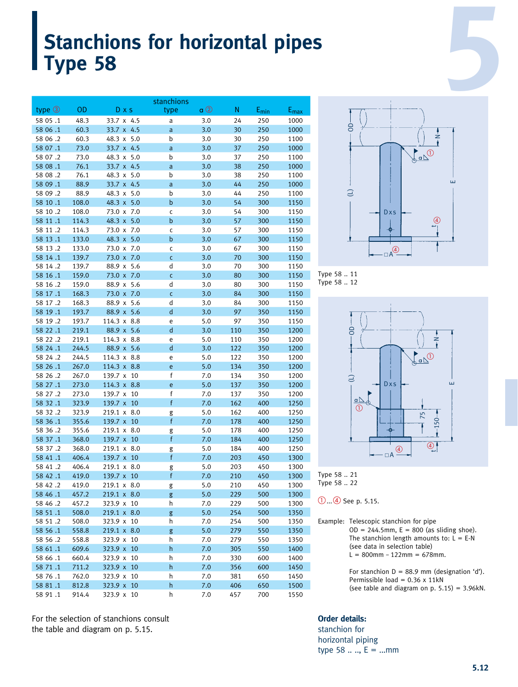## **Stanchions for horizontal pipes** Type 58

|          |           |             | stanchions   |              |     |           |                  |
|----------|-----------|-------------|--------------|--------------|-----|-----------|------------------|
| type 3   | <b>OD</b> | D x s       | type         | $\alpha$ (2) | Ν   | $E_{min}$ | $E_{\text{max}}$ |
| 58 05 .1 | 48.3      | 33.7 x 4.5  | а            | 3.0          | 24  | 250       | 1000             |
| 58 06 .1 | 60.3      | 33.7 x 4.5  | a            | 3.0          | 30  | 250       | 1000             |
| 58 06 .2 | 60.3      | 48.3 x 5.0  | b            | 3.0          | 30  | 250       | 1100             |
| 58 07 .1 | 73.0      | 33.7 x 4.5  | a            | 3.0          | 37  | 250       | 1000             |
| 58 07 .2 | 73.0      | 48.3 x 5.0  | b            | 3.0          | 37  | 250       | 1100             |
| 58 08 .1 | 76.1      | 33.7 x 4.5  | a            | 3.0          | 38  | 250       | 1000             |
| 58 08 .2 | 76.1      | 48.3 x 5.0  | b            | 3.0          | 38  | 250       | 1100             |
| 58 09 .1 | 88.9      | 33.7 x 4.5  | a            | 3.0          | 44  | 250       | 1000             |
| 58 09 .2 | 88.9      | 48.3 x 5.0  | b            | 3.0          | 44  | 250       | 1100             |
| 58 10 .1 | 108.0     | 48.3 x 5.0  | b            | 3.0          | 54  | 300       | 1150             |
| 58 10 .2 | 108.0     | 73.0 x 7.0  | C            | 3.0          | 54  | 300       | 1150             |
| 58 11 .1 | 114.3     | 48.3 x 5.0  | $\mathbf b$  | 3.0          | 57  | 300       | 1150             |
| 58 11 .2 | 114.3     | 73.0 x 7.0  | C            | 3.0          | 57  | 300       | 1150             |
| 58 13 .1 | 133.0     | 48.3 x 5.0  | b            | 3.0          | 67  | 300       | 1150             |
| 58 13 .2 | 133.0     | 73.0 x 7.0  | C            | 3.0          | 67  | 300       | 1150             |
| 58 14 .1 | 139.7     | 73.0 x 7.0  | $\mathsf{C}$ | 3.0          | 70  | 300       | 1150             |
| 58 14 .2 | 139.7     | 88.9 x 5.6  | d            | 3.0          | 70  | 300       | 1150             |
| 58 16 .1 | 159.0     | 73.0 x 7.0  | $\mathsf{C}$ | 3.0          | 80  | 300       | 1150             |
| 58 16 .2 | 159.0     | 88.9 x 5.6  | d            | 3.0          | 80  | 300       | 1150             |
| 58 17 .1 | 168.3     | 73.0 x 7.0  | $\mathsf{C}$ | 3.0          | 84  | 300       | 1150             |
| 58 17 .2 | 168.3     | 88.9 x 5.6  | d            | 3.0          | 84  | 300       | 1150             |
| 58 19 .1 | 193.7     | 88.9 x 5.6  | d            | 3.0          | 97  | 350       | 1150             |
| 58 19 .2 | 193.7     | 114.3 x 8.8 | e            | 5.0          | 97  | 350       | 1150             |
| 58 22 .1 | 219.1     | 88.9 x 5.6  | $\mathsf{d}$ | 3.0          | 110 | 350       | 1200             |
| 58 22 .2 | 219.1     | 114.3 x 8.8 | е            | 5.0          | 110 | 350       | 1200             |
| 58 24 .1 | 244.5     | 88.9 x 5.6  | d            | 3.0          | 122 | 350       | 1200             |
| 58 24 .2 | 244.5     | 114.3 x 8.8 | е            | 5.0          | 122 | 350       | 1200             |
| 58 26 .1 | 267.0     | 114.3 x 8.8 | e            | 5.0          | 134 | 350       | 1200             |
| 58 26 .2 | 267.0     | 139.7 x 10  | f            | 7.0          | 134 | 350       | 1200             |
| 58 27 .1 | 273.0     | 114.3 x 8.8 | e            | 5.0          | 137 | 350       | 1200             |
| 58 27 .2 | 273.0     | 139.7 x 10  | f            | 7.0          | 137 | 350       | 1200             |
| 58 32 .1 | 323.9     | 139.7 x 10  | f            | 7.0          | 162 | 400       | 1250             |
| 58 32 .2 | 323.9     | 219.1 x 8.0 |              | 5.0          | 162 | 400       | 1250             |
| 58 36 .1 | 355.6     | 139.7 x 10  | g<br>f       | 7.0          | 178 | 400       | 1250             |
| 58 36 .2 | 355.6     | 219.1 x 8.0 |              | 5.0          | 178 | 400       | 1250             |
| 58 37 .1 | 368.0     | 139.7 x 10  | g<br>f       | 7.0          | 184 | 400       | 1250             |
| 58 37 .2 | 368.0     | 219.1 x 8.0 |              | 5.0          | 184 | 400       | 1250             |
| 58 41 .1 | 406.4     | 139.7 x 10  | g<br>f       | 7.0          | 203 | 450       | 1300             |
| 58 41 .2 | 406.4     | 219.1 x 8.0 |              | 5.0          | 203 | 450       | 1300             |
| 58 42 .1 | 419.0     | 139.7 x 10  | g<br>f       | 7.0          | 210 | 450       | 1300             |
| 58 42 .2 | 419.0     | 219.1 x 8.0 |              | 5.0          | 210 | 450       | 1300             |
| 58 46 .1 | 457.2     | 219.1 x 8.0 | g            | 5.0          | 229 | 500       | 1300             |
| 58 46 .2 | 457.2     | 323.9 x 10  | g<br>h       | 7.0          | 229 | 500       | 1300             |
| 58 51 .1 | 508.0     | 219.1 x 8.0 |              | 5.0          | 254 | 500       | 1350             |
| 58 51 .2 | 508.0     | 323.9 x 10  | g<br>h       | 7.0          | 254 | 500       | 1350             |
| 58 56 .1 | 558.8     | 219.1 x 8.0 |              | 5.0          | 279 | 550       | 1350             |
| 58 56 .2 | 558.8     | 323.9 x 10  | g<br>h       | 7.0          | 279 | 550       | 1350             |
| 58 61.1  | 609.6     | 323.9 x 10  | h            | 7.0          | 305 | 550       | 1400             |
| 58 66 .1 | 660.4     | 323.9 x 10  | h            | 7.0          | 330 | 600       | 1400             |
| 58 71 .1 | 711.2     | 323.9 x 10  | h            | 7.0          | 356 | 600       | 1450             |
| 58 76 .1 | 762.0     | 323.9 x 10  | h            | 7.0          | 381 | 650       | 1450             |
| 58 81.1  | 812.8     | 323.9 x 10  | h            | 7.0          | 406 | 650       | 1500             |
| 58 91 .1 | 914.4     | 323.9 x 10  | h            | 7.0          | 457 | 700       | 1550             |
|          |           |             |              |              |     |           |                  |

For the selection of stanchions consult the table and diagram on p. 5.15.



Type 58 .. 11 Type 58 .. 12



Type 58 .. 21

Type 58 .. 22

1... 4 See p. 5.15.

Example: Telescopic stanchion for pipe  $OD = 244.5$ mm, E = 800 (as sliding shoe). The stanchion length amounts to:  $L = E-N$ (see data in selection table)  $L = 800$ mm - 122mm = 678mm.

> For stanchion  $D = 88.9$  mm (designation 'd'). Permissible load =  $0.36 \times 11kN$ (see table and diagram on  $p. 5.15$ ) = 3.96kN.

**Order details:** 

stanchion for horizontal piping type 58 .. ..,  $E = ...mm$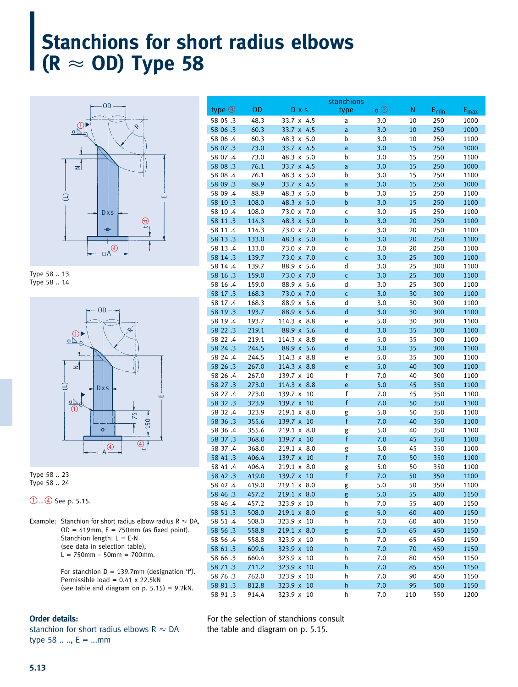## **Stanchions for short radius elbows (R OD) Type 58**



Type 58 .. 13 Type 58 .. 14



Type 58 .. 23 Type 58 .. 24

1... 4 See p. 5.15.

Example: Stanchion for short radius elbow radius  $R \approx DA$ ,  $OD = 419$ mm,  $E = 750$ mm (as fixed point). Stanchion length:  $L = E-N$  (see data in selection table),  $L = 750$ mm – 50mm = 700mm.

> For stanchion  $D = 139.7$ mm (designation 'f'). Permissible load =  $0.41 \times 22.5$ kN (see table and diagram on  $p. 5.15$ ) = 9.2kN.

#### **Order details:**

stanchion for short radius elbows  $R \approx DA$ type 58 .. ..,  $E = ...mm$ 

| stanchions |       |             |              |         |     |           |                  |  |  |
|------------|-------|-------------|--------------|---------|-----|-----------|------------------|--|--|
| type 3     | OD    | D x s       | type         | $a$ $Q$ | N   | $E_{min}$ | $E_{\text{max}}$ |  |  |
| 58 05 .3   | 48.3  | 33.7 x 4.5  | a            | 3.0     | 10  | 250       | 1000             |  |  |
| 58 06 .3   | 60.3  | 33.7 x 4.5  | a            | 3.0     | 10  | 250       | 1000             |  |  |
| 58 06 .4   | 60.3  | 48.3 x 5.0  | b            | 3.0     | 10  | 250       | 1100             |  |  |
| 58 07 .3   | 73.0  | 33.7 x 4.5  | a            | 3.0     | 15  | 250       | 1000             |  |  |
| 58 07 .4   | 73.0  | 48.3 x 5.0  | b            | 3.0     | 15  | 250       | 1100             |  |  |
| 58 08 .3   | 76.1  | 33.7 x 4.5  | a            | 3.0     | 15  | 250       | 1000             |  |  |
| 58 08 .4   | 76.1  | 48.3 x 5.0  | b            | 3.0     | 15  | 250       | 1100             |  |  |
| 58 09 .3   | 88.9  | 33.7 x 4.5  | a            | 3.0     | 15  | 250       | 1000             |  |  |
| 58 09 .4   | 88.9  | 48.3 x 5.0  | b            | 3.0     | 15  | 250       | 1100             |  |  |
| 58 10 .3   | 108.0 | 48.3 x 5.0  | b            | 3.0     | 15  | 250       | 1100             |  |  |
| 58 10 .4   | 108.0 | 73.0 x 7.0  | C            | 3.0     | 15  | 250       | 1100             |  |  |
| 58 11 .3   | 114.3 | 48.3 x 5.0  | b            | 3.0     | 20  | 250       | 1100             |  |  |
| 58 11 .4   | 114.3 | 73.0 x 7.0  | C            | 3.0     | 20  | 250       | 1100             |  |  |
| 58 13 .3   | 133.0 | 48.3 x 5.0  | b            | 3.0     | 20  | 250       | 1100             |  |  |
| 58 13 .4   | 133.0 | 73.0 x 7.0  | C            | 3.0     | 20  | 250       | 1100             |  |  |
| 58 14 .3   | 139.7 | 73.0 x 7.0  | $\mathsf{C}$ | 3.0     | 25  | 300       | 1100             |  |  |
| 58 14 .4   | 139.7 | 88.9 x 5.6  | d            | 3.0     | 25  | 300       | 1100             |  |  |
| 58 16 .3   | 159.0 | 73.0 x 7.0  | $\mathsf{C}$ | 3.0     | 25  | 300       | 1100             |  |  |
| 58 16 .4   | 159.0 | 88.9 x 5.6  | d            | 3.0     | 25  | 300       | 1100             |  |  |
| 58 17 .3   | 168.3 | 73.0 x 7.0  | $\mathsf{C}$ | 3.0     | 30  | 300       | 1100             |  |  |
| 58 17 .4   | 168.3 | 88.9 x 5.6  | d            | 3.0     | 30  | 300       | 1100             |  |  |
| 58 19 .3   | 193.7 | 88.9 x 5.6  | d            | 3.0     | 30  | 300       | 1100             |  |  |
| 58 19.4    | 193.7 | 114.3 x 8.8 | e            | 5.0     | 30  | 300       | 1100             |  |  |
| 58 22 .3   | 219.1 | 88.9 x 5.6  | d            | 3.0     | 35  | 300       | 1100             |  |  |
| 58 22 .4   | 219.1 | 114.3 x 8.8 | e            | 5.0     | 35  | 300       | 1100             |  |  |
| 58 24 .3   | 244.5 | 88.9 x 5.6  | d            | 3.0     | 35  | 300       | 1100             |  |  |
| 58 24 .4   | 244.5 | 114.3 x 8.8 | e            | 5.0     | 35  | 300       | 1100             |  |  |
| 58 26 .3   | 267.0 | 114.3 x 8.8 | e            | 5.0     | 40  | 300       | 1100             |  |  |
| 58 26 .4   | 267.0 | 139.7 x 10  | f            | 7.0     | 40  | 300       | 1100             |  |  |
| 58 27 .3   | 273.0 | 114.3 x 8.8 | e            | 5.0     | 45  | 350       | 1100             |  |  |
| 58 27 .4   | 273.0 | 139.7 x 10  | $\sf f$      | 7.0     | 45  | 350       | 1100             |  |  |
| 58 32 .3   | 323.9 | 139.7 x 10  | f            | 7.0     | 50  | 350       | 1100             |  |  |
| 58 32 .4   | 323.9 | 219.1 x 8.0 |              | 5.0     | 50  | 350       | 1100             |  |  |
| 58 36 .3   | 355.6 | 139.7 x 10  | g<br>f       | 7.0     | 40  | 350       | 1100             |  |  |
| 58 36 .4   | 355.6 | 219.1 x 8.0 |              | 5.0     | 40  | 350       | 1100             |  |  |
| 58 37 .3   | 368.0 | 139.7 x 10  | g<br>f       | 7.0     | 45  | 350       | 1100             |  |  |
| 58 37 .4   | 368.0 | 219.1 x 8.0 |              | 5.0     | 45  | 350       | 1100             |  |  |
| 58 41 .3   | 406.4 | 139.7 x 10  | g<br>f       | 7.0     | 50  | 350       | 1100             |  |  |
| 58 41 .4   | 406.4 | 219.1 x 8.0 |              | 5.0     | 50  | 350       | 1100             |  |  |
| 58 42 .3   | 419.0 | 139.7 x 10  | g<br>f       | 7.0     | 50  | 350       | 1100             |  |  |
| 58 42 .4   | 419.0 | 219.1 x 8.0 | g            | 5.0     | 50  | 350       | 1100             |  |  |
| 58 46 .3   | 457.2 | 219.1 x 8.0 |              | 5.0     | 55  | 400       | 1150             |  |  |
| 58 46 .4   | 457.2 | 323.9 x 10  | g<br>h       | 7.0     | 55  | 400       | 1150             |  |  |
| 58 51 .3   | 508.0 | 219.1 x 8.0 | $\mathsf g$  | 5.0     | 60  | 400       | 1150             |  |  |
| 58 51 .4   | 508.0 | 323.9 x 10  | h            | 7.0     | 60  | 400       | 1150             |  |  |
| 58 56 .3   | 558.8 | 219.1 x 8.0 | g            | 5.0     | 65  | 450       | 1150             |  |  |
| 58 56 .4   | 558.8 | 323.9 x 10  | h            | 7.0     | 65  | 450       | 1150             |  |  |
| 58 61 .3   | 609.6 | 323.9 x 10  | h            | 7.0     | 70  | 450       | 1150             |  |  |
| 58 66 .3   | 660.4 | 323.9 x 10  | h            | 7.0     | 80  | 450       | 1150             |  |  |
| 58 71 .3   | 711.2 | 323.9 x 10  | h            | 7.0     | 85  | 450       | 1150             |  |  |
| 58 76 .3   | 762.0 | 323.9 x 10  | h            | 7.0     | 90  | 450       | 1150             |  |  |
| 58 81 .3   | 812.8 | 323.9 x 10  | h            | 7.0     | 95  | 500       | 1150             |  |  |
| 58 91 .3   | 914.4 | 323.9 x 10  | h            | 7.0     | 110 | 550       | 1200             |  |  |

For the selection of stanchions consult the table and diagram on p. 5.15.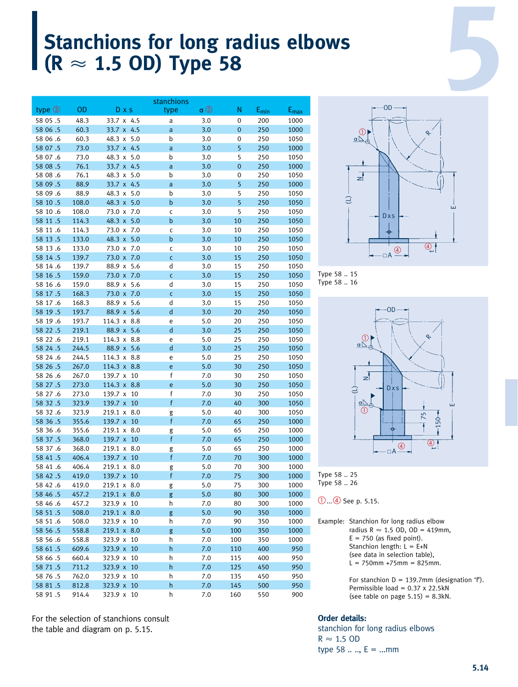# Stanchions for long radius elbows<br>( $R \approx 1.5$  OD) Type 58

|          |       |             | stanchions   |              |              |           |                  |
|----------|-------|-------------|--------------|--------------|--------------|-----------|------------------|
| type 3   | OD    | D x s       | type         | $\alpha$ (2) | Ν            | $E_{min}$ | $E_{\text{max}}$ |
| 58 05 .5 | 48.3  | 33.7 x 4.5  | а            | 3.0          | 0            | 200       | 1000             |
| 58 06 .5 | 60.3  | 33.7 x 4.5  | a            | 3.0          | $\mathbf{0}$ | 250       | 1000             |
| 58 06 .6 | 60.3  | 48.3 x 5.0  | b            | 3.0          | 0            | 250       | 1050             |
| 58 07 .5 | 73.0  | 33.7 x 4.5  | a            | 3.0          | 5            | 250       | 1000             |
| 58 07 .6 | 73.0  | 48.3 x 5.0  | b            | 3.0          | 5            | 250       | 1050             |
| 58 08 .5 | 76.1  | 33.7 x 4.5  | a            | 3.0          | $\mathbf{0}$ | 250       | 1000             |
| 58 08 .6 | 76.1  | 48.3 x 5.0  | b            | 3.0          | $\pmb{0}$    | 250       | 1050             |
| 58 09 .5 | 88.9  | 33.7 x 4.5  | a            | 3.0          | 5            | 250       | 1000             |
| 58 09 .6 | 88.9  | 48.3 x 5.0  | b            | 3.0          | 5            | 250       | 1050             |
| 58 10 .5 | 108.0 | 48.3 x 5.0  | b            | 3.0          | 5            | 250       | 1050             |
| 58 10 .6 | 108.0 | 73.0 x 7.0  | C            | 3.0          | 5            | 250       | 1050             |
| 58 11 .5 | 114.3 | 48.3 x 5.0  | $\mathbf b$  | 3.0          | 10           | 250       | 1050             |
| 58 11 .6 | 114.3 | 73.0 x 7.0  | C            | 3.0          | 10           | 250       | 1050             |
| 58 13 .5 | 133.0 | 48.3 x 5.0  | b            | 3.0          | 10           | 250       | 1050             |
| 58 13 .6 | 133.0 | 73.0 x 7.0  | C            | 3.0          | 10           | 250       | 1050             |
| 58 14 .5 | 139.7 | 73.0 x 7.0  | $\mathsf{C}$ | 3.0          | 15           | 250       | 1050             |
| 58 14 .6 | 139.7 | 88.9 x 5.6  | d            | 3.0          | 15           | 250       | 1050             |
| 58 16 .5 | 159.0 | 73.0 x 7.0  | $\mathsf{C}$ | 3.0          | 15           | 250       | 1050             |
| 58 16 .6 | 159.0 | 88.9 x 5.6  | d            | 3.0          | 15           | 250       | 1050             |
| 58 17 .5 | 168.3 | 73.0 x 7.0  | $\mathsf{C}$ | 3.0          | 15           | 250       | 1050             |
| 58 17 .6 | 168.3 | 88.9 x 5.6  | d            | 3.0          | 15           | 250       | 1050             |
| 58 19 .5 | 193.7 | 88.9 x 5.6  | d            | 3.0          | 20           | 250       | 1050             |
| 58 19 .6 | 193.7 | 114.3 x 8.8 | e            | 5.0          | 20           | 250       | 1050             |
| 58 22 .5 | 219.1 | 88.9 x 5.6  | $\mathsf{d}$ | 3.0          | 25           | 250       | 1050             |
| 58 22 .6 | 219.1 | 114.3 x 8.8 | e            | 5.0          | 25           | 250       | 1050             |
| 58 24 .5 | 244.5 | 88.9 x 5.6  | d            | 3.0          | 25           | 250       | 1050             |
| 58 24 .6 | 244.5 | 114.3 x 8.8 | е            | 5.0          | 25           | 250       | 1050             |
| 58 26 .5 | 267.0 | 114.3 x 8.8 | e            | 5.0          | 30           | 250       | 1050             |
| 58 26 .6 | 267.0 | 139.7 x 10  | f            | 7.0          | 30           | 250       | 1050             |
| 58 27 .5 | 273.0 | 114.3 x 8.8 | e            | 5.0          | 30           | 250       | 1050             |
| 58 27 .6 | 273.0 | 139.7 x 10  | f            | 7.0          | 30           | 250       | 1050             |
| 58 32 .5 | 323.9 | 139.7 x 10  | f            | 7.0          | 40           | 300       | 1050             |
| 58 32 .6 | 323.9 | 219.1 x 8.0 | g            | 5.0          | 40           | 300       | 1050             |
| 58 36 .5 | 355.6 | 139.7 x 10  | f            | 7.0          | 65           | 250       | 1000             |
| 58 36 .6 | 355.6 | 219.1 x 8.0 | g            | 5.0          | 65           | 250       | 1000             |
| 58 37 .5 | 368.0 | 139.7 x 10  | f            | 7.0          | 65           | 250       | 1000             |
| 58 37 .6 | 368.0 | 219.1 x 8.0 | g            | 5.0          | 65           | 250       | 1000             |
| 58 41 .5 | 406.4 | 139.7 x 10  | f            | 7.0          | 70           | 300       | 1000             |
| 58 41 .6 | 406.4 | 219.1 x 8.0 | g            | 5.0          | 70           | 300       | 1000             |
| 58 42 .5 | 419.0 | 139.7 x 10  | f            | 7.0          | 75           | 300       | 1000             |
| 58 42 .6 | 419.0 | 219.1 x 8.0 | g            | 5.0          | 75           | 300       | 1000             |
| 58 46 .5 | 457.2 | 219.1 x 8.0 | g            | 5.0          | 80           | 300       | 1000             |
| 58 46 .6 | 457.2 | 323.9 x 10  | h            | 7.0          | 80           | 300       | 1000             |
| 58 51 .5 | 508.0 | 219.1 x 8.0 | g            | 5.0          | 90           | 350       | 1000             |
| 58 51 .6 | 508.0 | 323.9 x 10  | h            | 7.0          | 90           | 350       | 1000             |
| 58 56 .5 | 558.8 | 219.1 x 8.0 | g            | 5.0          | 100          | 350       | 1000             |
| 58 56 .6 | 558.8 | 323.9 x 10  | h            | 7.0          | 100          | 350       | 1000             |
| 58 61 .5 | 609.6 | 323.9 x 10  | h            | 7.0          | 110          | 400       | 950              |
| 58 66 .5 | 660.4 | 323.9 x 10  | h            | 7.0          | 115          | 400       | 950              |
| 58 71 .5 | 711.2 | 323.9 x 10  | h            | 7.0          | 125          | 450       | 950              |
| 58 76 .5 | 762.0 | 323.9 x 10  | h            | 7.0          | 135          | 450       | 950              |
| 58 81.5  | 812.8 | 323.9 x 10  | h            | 7.0          | 145          | 500       | 950              |
| 58 91 .5 | 914.4 | 323.9 x 10  | h            | 7.0          | 160          | 550       | 900              |

For the selection of stanchions consult the table and diagram on p. 5.15.



Type 58 .. 15 Type 58 .. 16



Type 58 .. 25

Type 58 .. 26

1... 4 See p. 5.15.

Example: Stanchion for long radius elbow radius  $R \approx 1.5$  OD, OD = 419mm,  $E = 750$  (as fixed point). Stanchion length:  $L = E+N$ (see data in selection table),  $L = 750$ mm +75mm = 825mm.

> For stanchion  $D = 139.7$ mm (designation 'f'). Permissible load =  $0.37 \times 22.5$ kN (see table on page  $5.15$ ) = 8.3kN.

#### **Order details:**

stanchion for long radius elbows  $R \approx 1.5$  OD type 58 .. ..,  $E = ...mm$